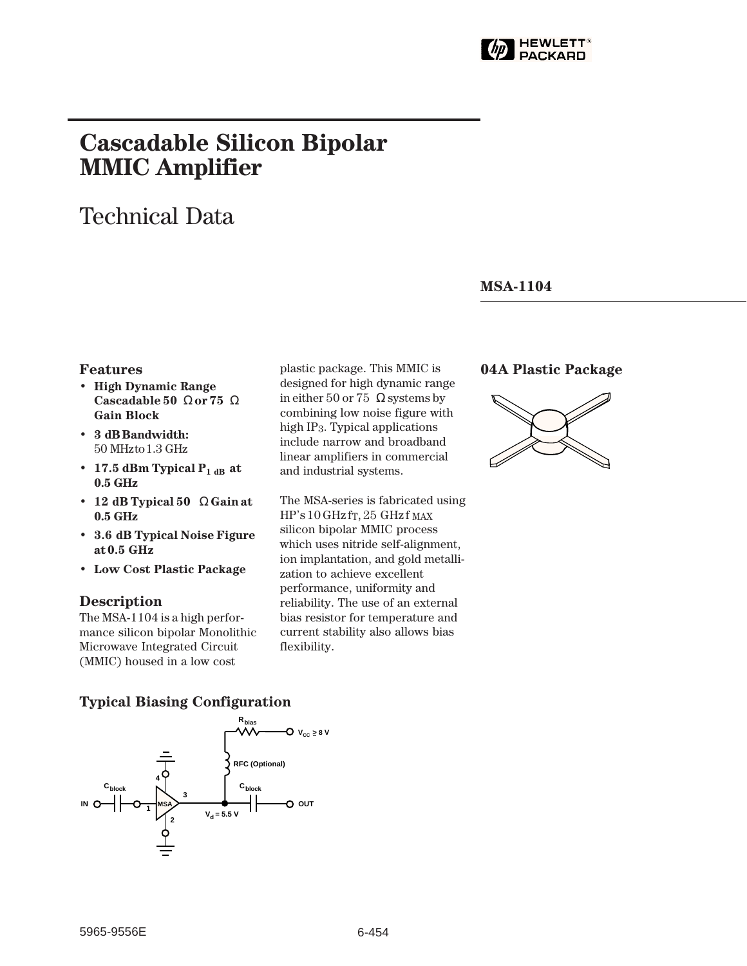

# **Cascadable Silicon Bipolar MMIC␣ Amplifier**

# Technical Data

#### **MSA-1104**

#### **Features**

- **High Dynamic Range Cascadable 50␣** Ω **or 75␣** Ω **Gain Block**
- **3␣ dB Bandwidth:** 50␣ MHz to 1.3␣ GHz
- 17.5 dBm Typical  $P_{1 dB}$  at **0.5␣ GHz**
- **12␣ dB Typical 50␣** Ω **Gain at 0.5␣ GHz**
- **3.6␣ dB Typical Noise Figure at 0.5␣ GHz**
- **Low Cost Plastic Package**

#### **Description**

The MSA-1104 is a high performance silicon bipolar Monolithic Microwave Integrated Circuit (MMIC) housed in a low cost

plastic package. This MMIC is designed for high dynamic range in either 50 or 75  $\Omega$  systems by combining low noise figure with high IP3. Typical applications include narrow and broadband linear amplifiers in commercial and industrial systems.

The MSA-series is fabricated using  $HP's 10 GHz$  f<sub>T</sub>, 25 GHz f MAX silicon bipolar MMIC process which uses nitride self-alignment, ion implantation, and gold metallization to achieve excellent performance, uniformity and reliability. The use of an external bias resistor for temperature and current stability also allows bias flexibility.

#### **04A Plastic Package**



#### **Typical Biasing Configuration**

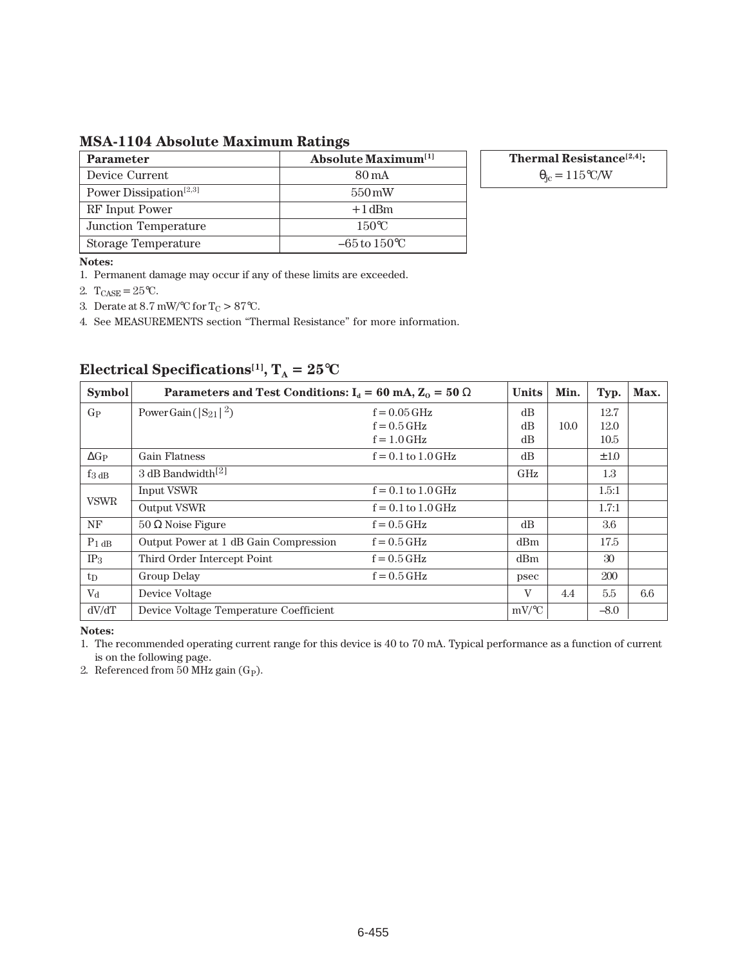**MSA-1104 Absolute Maximum Ratings**

| <b>Parameter</b>                   | <b>Absolute Maximum</b> <sup>[1]</sup> |
|------------------------------------|----------------------------------------|
| Device Current                     | 80 mA                                  |
| Power Dissipation <sup>[2,3]</sup> | $550 \,\mathrm{mW}$                    |
| RF Input Power                     | $+1$ dBm                               |
| Junction Temperature               | 150°C                                  |
| Storage Temperature                | $-65$ to $150^{\circ}$ C               |

**Thermal Resistance[2,4]:**  $\theta_{\rm jc} = 115$ °C/W

**Notes:**

1. Permanent damage may occur if any of these limits are exceeded.

2.  $T_{\text{CASE}} = 25^{\circ}C$ .

3. Derate at 8.7 mW/°C for  $\rm T_{C}>87^{\circ}C.$ 

4. See MEASUREMENTS section "Thermal Resistance" for more information.

| <b>Symbol</b> | Parameters and Test Conditions: $I_d = 60$ mA, $Z_0 = 50 \Omega$ | <b>Units</b>           | Min.         | Typ. | Max.      |     |
|---------------|------------------------------------------------------------------|------------------------|--------------|------|-----------|-----|
| $G_{P}$       | Power Gain ( $ S_{21} ^2$ )                                      | $f = 0.05$ GHz         | dB           |      | 12.7      |     |
|               |                                                                  | $f = 0.5$ GHz          | dB           | 10.0 | 12.0      |     |
|               |                                                                  | $f = 1.0$ GHz          | dB           |      | 10.5      |     |
| $\Delta G_P$  | <b>Gain Flatness</b>                                             | $f = 0.1$ to $1.0$ GHz | dB           |      | $\pm 1.0$ |     |
| $f_3$ dB      | 3 dB Bandwidth <sup>[2]</sup>                                    |                        | GHz          |      | 1.3       |     |
| <b>VSWR</b>   | Input VSWR                                                       | $f = 0.1$ to $1.0$ GHz |              |      | 1.5:1     |     |
|               | Output VSWR                                                      | $f = 0.1$ to $1.0$ GHz |              |      | 1.7:1     |     |
| NF            | $50 \Omega$ Noise Figure                                         | $f = 0.5$ GHz          | dB           |      | 3.6       |     |
| $P_1$ dB      | Output Power at 1 dB Gain Compression                            | $f = 0.5$ GHz          | dBm          |      | 17.5      |     |
| $IP_3$        | Third Order Intercept Point                                      | $f = 0.5$ GHz          | dBm          |      | 30        |     |
| $t_{\rm D}$   | Group Delay                                                      | $f = 0.5$ GHz          | psec         |      | 200       |     |
| $V_{\rm d}$   | Device Voltage                                                   |                        | $\mathbf{V}$ | 4.4  | 5.5       | 6.6 |
| dV/dT         | Device Voltage Temperature Coefficient                           |                        | $mV$ /°C     |      | $-8.0$    |     |

## **Electrical Specifications<sup>[1]</sup>,**  $T_A = 25^{\circ}C$

**Notes:**

1. The recommended operating current range for this device is 40 to 70 mA. Typical performance as a function of current is on the following page.

2. Referenced from 50 MHz gain (G<sub>P</sub>).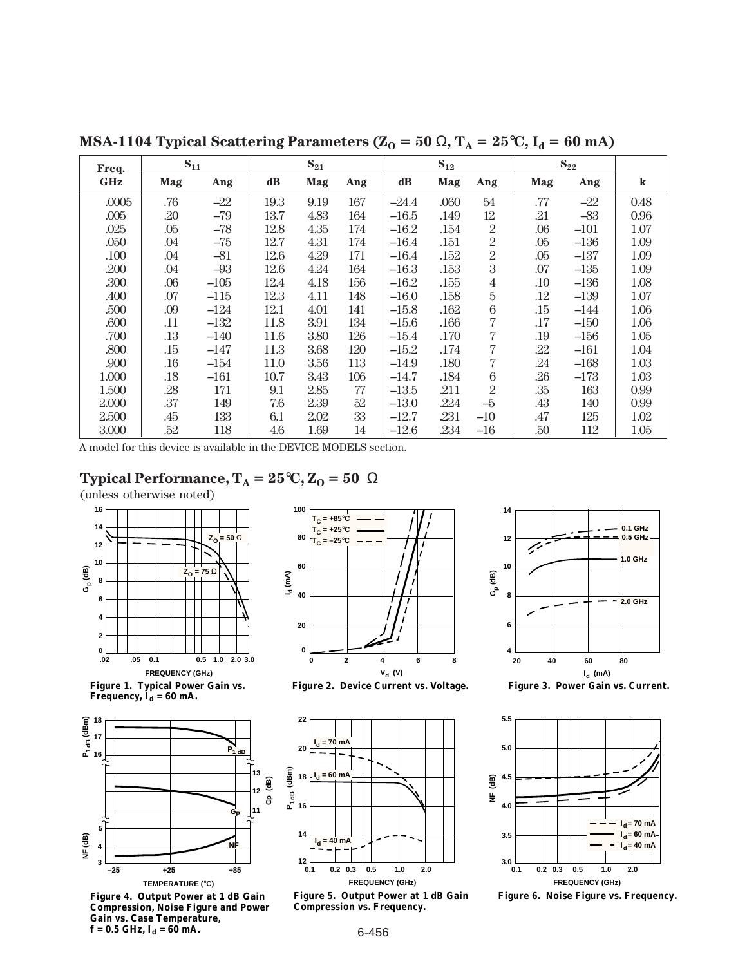| Freq.      | $S_{11}$ |        | $S_{21}$      |      | $S_{12}$ |               |      | $S_{22}$        |         |        |         |
|------------|----------|--------|---------------|------|----------|---------------|------|-----------------|---------|--------|---------|
| <b>GHz</b> | Mag      | Ang    | $\mathbf{dB}$ | Mag  | Ang      | $\mathbf{dB}$ | Mag  | Ang             | Mag     | Ang    | $\bf k$ |
| .0005      | .76      | $-22$  | 19.3          | 9.19 | 167      | $-24.4$       | .060 | 54              | .77     | $-22$  | 0.48    |
| .005       | .20      | $-79$  | 13.7          | 4.83 | 164      | $-16.5$       | .149 | 12              | .21     | $-83$  | 0.96    |
| .025       | .05      | $-78$  | 12.8          | 4.35 | 174      | $-16.2$       | .154 | $\overline{2}$  | .06     | $-101$ | 1.07    |
| .050       | .04      | $-75$  | 12.7          | 4.31 | 174      | $-16.4$       | .151 | $\overline{2}$  | .05     | $-136$ | 1.09    |
| .100       | .04      | $-81$  | 12.6          | 4.29 | 171      | $-16.4$       | .152 | $\overline{2}$  | .05     | $-137$ | 1.09    |
| .200       | .04      | $-93$  | 12.6          | 4.24 | 164      | $-16.3$       | .153 | 3               | .07     | $-135$ | 1.09    |
| .300       | .06      | $-105$ | 12.4          | 4.18 | 156      | $-16.2$       | .155 | $\overline{4}$  | $.10\,$ | $-136$ | 1.08    |
| .400       | .07      | $-115$ | 12.3          | 4.11 | 148      | $-16.0$       | .158 | $\overline{5}$  | .12     | $-139$ | 1.07    |
| .500       | .09      | $-124$ | 12.1          | 4.01 | 141      | $-15.8$       | .162 | 6               | .15     | $-144$ | 1.06    |
| .600       | .11      | $-132$ | 11.8          | 3.91 | 134      | $-15.6$       | .166 | 7               | .17     | $-150$ | 1.06    |
| .700       | .13      | $-140$ | 11.6          | 3.80 | 126      | $-15.4$       | .170 | 7               | .19     | $-156$ | 1.05    |
| .800       | .15      | $-147$ | 11.3          | 3.68 | 120      | $-15.2$       | .174 | 7               | .22     | $-161$ | 1.04    |
| .900       | .16      | $-154$ | 11.0          | 3.56 | 113      | $-14.9$       | .180 | 7               | .24     | $-168$ | 1.03    |
| 1.000      | .18      | $-161$ | 10.7          | 3.43 | 106      | $-14.7$       | .184 | $6\phantom{.}6$ | .26     | $-173$ | 1.03    |
| 1.500      | .28      | 171    | 9.1           | 2.85 | 77       | $-13.5$       | .211 | $\overline{2}$  | .35     | 163    | 0.99    |
| 2.000      | .37      | 149    | 7.6           | 2.39 | 52       | $-13.0$       | .224 | $-5$            | .43     | 140    | 0.99    |
| 2.500      | .45      | 133    | 6.1           | 2.02 | 33       | $-12.7$       | .231 | $-10$           | .47     | 125    | 1.02    |
| 3.000      | .52      | 118    | 4.6           | 1.69 | 14       | $-12.6$       | .234 | $-16$           | .50     | 112    | 1.05    |

**MSA-1104 Typical Scattering Parameters (** $Z_0 = 50 \Omega$ **,**  $T_A = 25^{\circ}C$ **,**  $I_d = 60 \text{ mA}$ **)** 

A model for this device is available in the DEVICE MODELS section.

### **Typical Performance,**  $T_A = 25^\circ \text{C}$ **,**  $Z_0 = 50 \Omega$

(unless otherwise noted)



**Figure 1. Typical Power Gain vs. Frequency,**  $I_d = 60$  **mA.** 



**Figure 4. Output Power at 1 dB Gain Compression, Noise Figure and Power Gain vs. Case Temperature,**   $f = 0.5$  GHz,  $I_d = 60$  mA.



**Figure 2. Device Current vs. Voltage.**



**Figure 5. Output Power at 1 dB Gain Compression vs. Frequency.**



**Figure 3. Power Gain vs. Current.**



**Figure 6. Noise Figure vs. Frequency.**